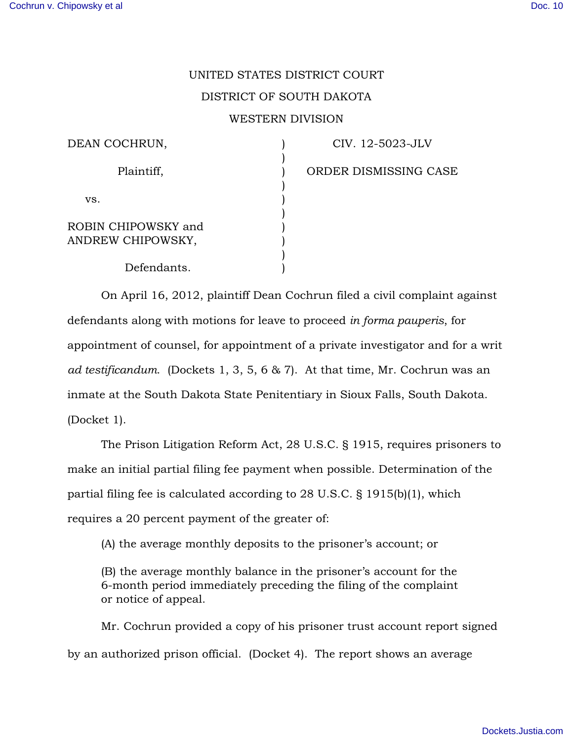## UNITED STATES DISTRICT COURT DISTRICT OF SOUTH DAKOTA WESTERN DIVISION

| DEAN COCHRUN,                            |  |
|------------------------------------------|--|
| Plaintiff,                               |  |
| VS.                                      |  |
| ROBIN CHIPOWSKY and<br>ANDREW CHIPOWSKY, |  |
| Defendants.                              |  |

CIV. 12-5023-JLV

ORDER DISMISSING CASE

On April 16, 2012, plaintiff Dean Cochrun filed a civil complaint against defendants along with motions for leave to proceed *in forma pauperis*, for appointment of counsel, for appointment of a private investigator and for a writ *ad testificandum*. (Dockets 1, 3, 5, 6 & 7). At that time, Mr. Cochrun was an inmate at the South Dakota State Penitentiary in Sioux Falls, South Dakota. (Docket 1).

The Prison Litigation Reform Act, 28 U.S.C. § 1915, requires prisoners to make an initial partial filing fee payment when possible. Determination of the partial filing fee is calculated according to 28 U.S.C. § 1915(b)(1), which requires a 20 percent payment of the greater of:

(A) the average monthly deposits to the prisoner's account; or

(B) the average monthly balance in the prisoner's account for the 6-month period immediately preceding the filing of the complaint or notice of appeal.

Mr. Cochrun provided a copy of his prisoner trust account report signed by an authorized prison official. (Docket 4). The report shows an average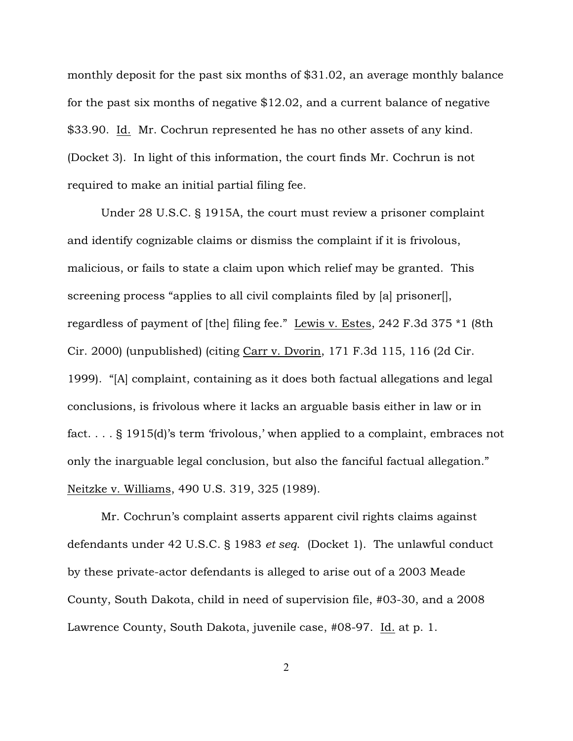monthly deposit for the past six months of \$31.02, an average monthly balance for the past six months of negative \$12.02, and a current balance of negative \$33.90. Id. Mr. Cochrun represented he has no other assets of any kind. (Docket 3). In light of this information, the court finds Mr. Cochrun is not required to make an initial partial filing fee.

Under 28 U.S.C. § 1915A, the court must review a prisoner complaint and identify cognizable claims or dismiss the complaint if it is frivolous, malicious, or fails to state a claim upon which relief may be granted. This screening process "applies to all civil complaints filed by [a] prisoner[], regardless of payment of [the] filing fee." Lewis v. Estes, 242 F.3d 375 \*1 (8th Cir. 2000) (unpublished) (citing Carr v. Dvorin, 171 F.3d 115, 116 (2d Cir. 1999). "[A] complaint, containing as it does both factual allegations and legal conclusions, is frivolous where it lacks an arguable basis either in law or in fact. . . . § 1915(d)'s term 'frivolous,' when applied to a complaint, embraces not only the inarguable legal conclusion, but also the fanciful factual allegation." Neitzke v. Williams, 490 U.S. 319, 325 (1989).

Mr. Cochrun's complaint asserts apparent civil rights claims against defendants under 42 U.S.C. § 1983 *et seq*. (Docket 1). The unlawful conduct by these private-actor defendants is alleged to arise out of a 2003 Meade County, South Dakota, child in need of supervision file, #03-30, and a 2008 Lawrence County, South Dakota, juvenile case, #08-97. Id. at p. 1.

2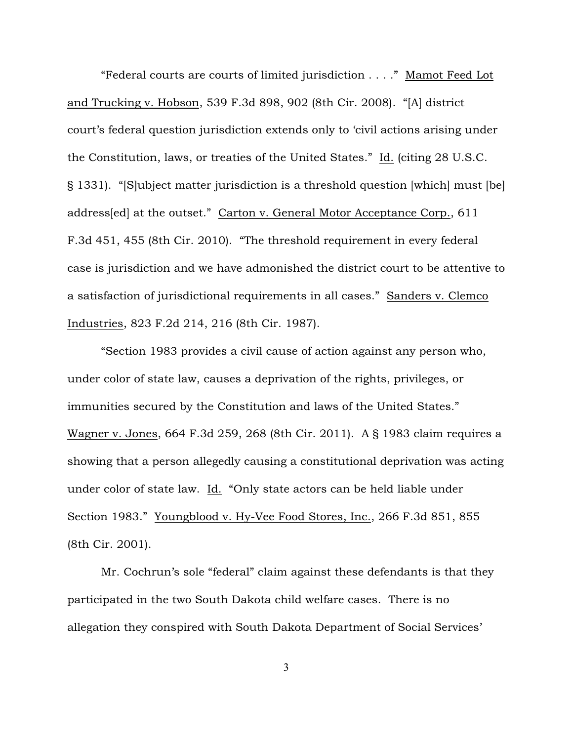"Federal courts are courts of limited jurisdiction . . . ." Mamot Feed Lot and Trucking v. Hobson, 539 F.3d 898, 902 (8th Cir. 2008). "[A] district court's federal question jurisdiction extends only to 'civil actions arising under the Constitution, laws, or treaties of the United States." Id. (citing 28 U.S.C. § 1331). "[S]ubject matter jurisdiction is a threshold question [which] must [be] address[ed] at the outset." Carton v. General Motor Acceptance Corp., 611 F.3d 451, 455 (8th Cir. 2010). "The threshold requirement in every federal case is jurisdiction and we have admonished the district court to be attentive to a satisfaction of jurisdictional requirements in all cases." Sanders v. Clemco Industries, 823 F.2d 214, 216 (8th Cir. 1987).

"Section 1983 provides a civil cause of action against any person who, under color of state law, causes a deprivation of the rights, privileges, or immunities secured by the Constitution and laws of the United States." Wagner v. Jones, 664 F.3d 259, 268 (8th Cir. 2011). A § 1983 claim requires a showing that a person allegedly causing a constitutional deprivation was acting under color of state law. Id. "Only state actors can be held liable under Section 1983." Youngblood v. Hy-Vee Food Stores, Inc., 266 F.3d 851, 855 (8th Cir. 2001).

Mr. Cochrun's sole "federal" claim against these defendants is that they participated in the two South Dakota child welfare cases. There is no allegation they conspired with South Dakota Department of Social Services'

3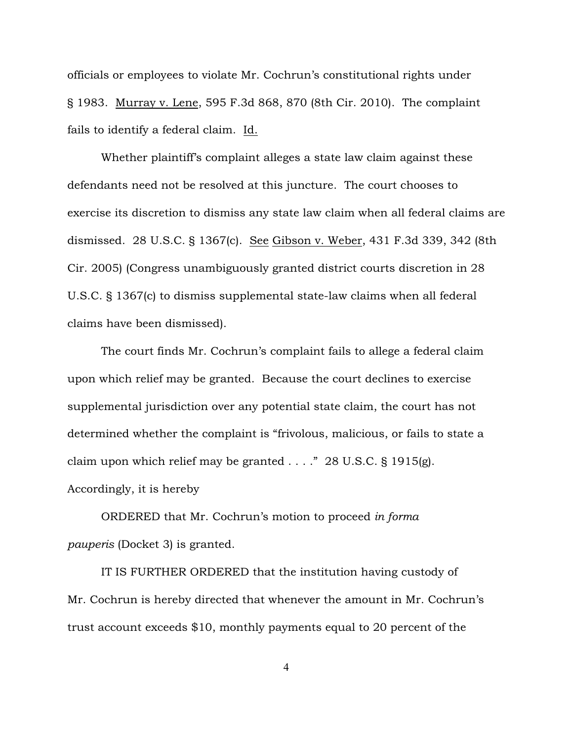officials or employees to violate Mr. Cochrun's constitutional rights under § 1983. Murray v. Lene, 595 F.3d 868, 870 (8th Cir. 2010). The complaint fails to identify a federal claim. Id.

Whether plaintiff's complaint alleges a state law claim against these defendants need not be resolved at this juncture. The court chooses to exercise its discretion to dismiss any state law claim when all federal claims are dismissed. 28 U.S.C. § 1367(c). See Gibson v. Weber, 431 F.3d 339, 342 (8th Cir. 2005) (Congress unambiguously granted district courts discretion in 28 U.S.C. § 1367(c) to dismiss supplemental state-law claims when all federal claims have been dismissed).

The court finds Mr. Cochrun's complaint fails to allege a federal claim upon which relief may be granted. Because the court declines to exercise supplemental jurisdiction over any potential state claim, the court has not determined whether the complaint is "frivolous, malicious, or fails to state a claim upon which relief may be granted  $\ldots$  ." 28 U.S.C. § 1915(g). Accordingly, it is hereby

ORDERED that Mr. Cochrun's motion to proceed *in forma pauperis* (Docket 3) is granted.

IT IS FURTHER ORDERED that the institution having custody of Mr. Cochrun is hereby directed that whenever the amount in Mr. Cochrun's trust account exceeds \$10, monthly payments equal to 20 percent of the

4